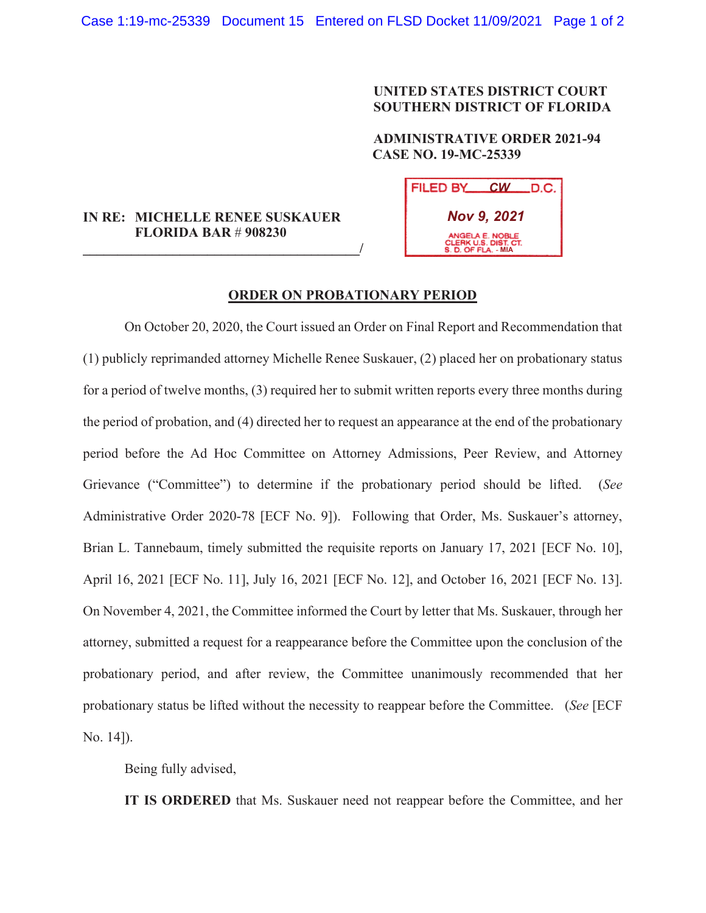## **UNITED STATES DISTRICT COURT SOUTHERN DISTRICT OF FLORIDA**

## **ADMINISTRATIVE ORDER 2021-94 CASE NO. 19-MC-25339**

| IN RE: MICHELLE RENEE SUSKAUER |
|--------------------------------|
| <b>FLORIDA BAR # 908230</b>    |

**\_\_\_\_\_\_\_\_\_\_\_\_\_\_\_\_\_\_\_\_\_\_\_\_\_\_\_\_\_\_\_\_\_\_\_\_\_\_\_\_/**

| FILED BY CW D.C.                                               |
|----------------------------------------------------------------|
| <b>Nov 9, 2021</b>                                             |
| ANGELA E. NOBLE<br>CLERK U.S. DIST. CT.<br>S. D. OF FLA. - MIA |

## **ORDER ON PROBATIONARY PERIOD**

 On October 20, 2020, the Court issued an Order on Final Report and Recommendation that (1) publicly reprimanded attorney Michelle Renee Suskauer, (2) placed her on probationary status for a period of twelve months, (3) required her to submit written reports every three months during the period of probation, and (4) directed her to request an appearance at the end of the probationary period before the Ad Hoc Committee on Attorney Admissions, Peer Review, and Attorney Grievance ("Committee") to determine if the probationary period should be lifted. (*See*  Administrative Order 2020-78 [ECF No. 9]). Following that Order, Ms. Suskauer's attorney, Brian L. Tannebaum, timely submitted the requisite reports on January 17, 2021 [ECF No. 10], April 16, 2021 [ECF No. 11], July 16, 2021 [ECF No. 12], and October 16, 2021 [ECF No. 13]. On November 4, 2021, the Committee informed the Court by letter that Ms. Suskauer, through her attorney, submitted a request for a reappearance before the Committee upon the conclusion of the probationary period, and after review, the Committee unanimously recommended that her probationary status be lifted without the necessity to reappear before the Committee. (*See* [ECF No. 14]).

Being fully advised,

**IT IS ORDERED** that Ms. Suskauer need not reappear before the Committee, and her